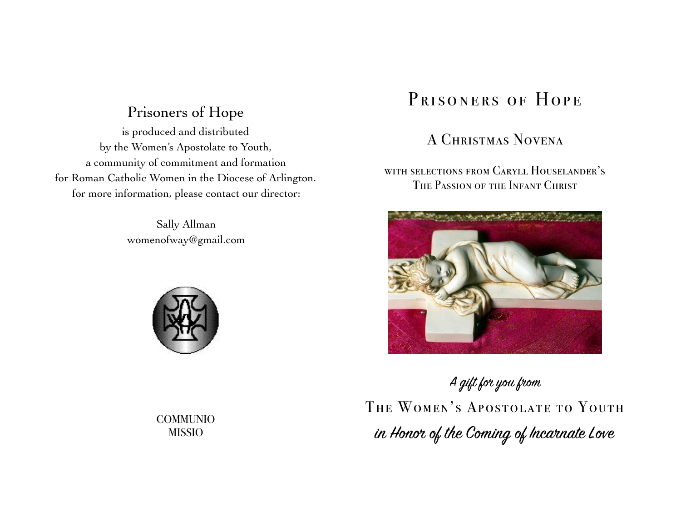## Prisoners of Hope

is produced and distributed by the Women's Apostolate to Youth, a community of commitment and formation for Roman Catholic Women in the Diocese of Arlington. for more information, please contact our director:

> Sally Allman womenofway@gmail.com



**COMMUNIO** MISSIO

# PRISONERS OF HOPE

## A Christmas Novena

with selections from Caryll Houselander's The Passion of the Infant Christ



A gift for you from The Women's Apostolate to Youth in Honor of the Coming of Incarnate Love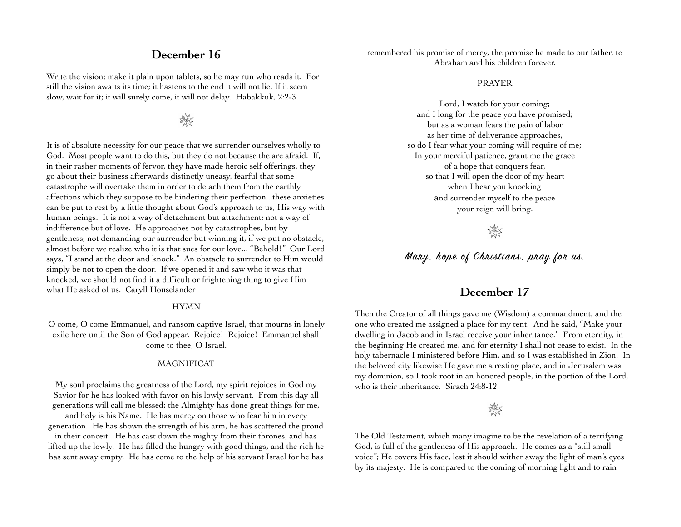### **December 16**

Write the vision; make it plain upon tablets, so he may run who reads it. For still the vision awaits its time; it hastens to the end it will not lie. If it seem slow, wait for it; it will surely come, it will not delay. Habakkuk, 2:2-3

## $\frac{1}{2}$

It is of absolute necessity for our peace that we surrender ourselves wholly to God. Most people want to do this, but they do not because the are afraid. If, in their rasher moments of fervor, they have made heroic self offerings, they go about their business afterwards distinctly uneasy, fearful that some catastrophe will overtake them in order to detach them from the earthly affections which they suppose to be hindering their perfection...these anxieties can be put to rest by a little thought about God's approach to us, His way with human beings. It is not a way of detachment but attachment; not a way of indifference but of love. He approaches not by catastrophes, but by gentleness; not demanding our surrender but winning it, if we put no obstacle, almost before we realize who it is that sues for our love... "Behold!" Our Lord says, "I stand at the door and knock." An obstacle to surrender to Him would simply be not to open the door. If we opened it and saw who it was that knocked, we should not find it a difficult or frightening thing to give Him what He asked of us. Caryll Houselander

### HYMN

O come, O come Emmanuel, and ransom captive Israel, that mourns in lonely exile here until the Son of God appear. Rejoice! Rejoice! Emmanuel shall come to thee, O Israel.

#### MAGNIFICAT

My soul proclaims the greatness of the Lord, my spirit rejoices in God my Savior for he has looked with favor on his lowly servant. From this day all generations will call me blessed; the Almighty has done great things for me,

and holy is his Name. He has mercy on those who fear him in every generation. He has shown the strength of his arm, he has scattered the proud in their conceit. He has cast down the mighty from their thrones, and has lifted up the lowly. He has filled the hungry with good things, and the rich he has sent away empty. He has come to the help of his servant Israel for he has

remembered his promise of mercy, the promise he made to our father, to Abraham and his children forever.

#### PRAYER

Lord, I watch for your coming; and I long for the peace you have promised; but as a woman fears the pain of labor as her time of deliverance approaches, so do I fear what your coming will require of me; In your merciful patience, grant me the grace of a hope that conquers fear, so that I will open the door of my heart when I hear you knocking and surrender myself to the peace your reign will bring.

### Mary, hope of Christians, pray for us.

### **December 17**

Then the Creator of all things gave me (Wisdom) a commandment, and the one who created me assigned a place for my tent. And he said, "Make your dwelling in Jacob and in Israel receive your inheritance." From eternity, in the beginning He created me, and for eternity I shall not cease to exist. In the holy tabernacle I ministered before Him, and so I was established in Zion. In the beloved city likewise He gave me a resting place, and in Jerusalem was my dominion, so I took root in an honored people, in the portion of the Lord, who is their inheritance. Sirach 24:8-12

The Old Testament, which many imagine to be the revelation of a terrifying God, is full of the gentleness of His approach. He comes as a "still small voice"; He covers His face, lest it should wither away the light of man's eyes by its majesty. He is compared to the coming of morning light and to rain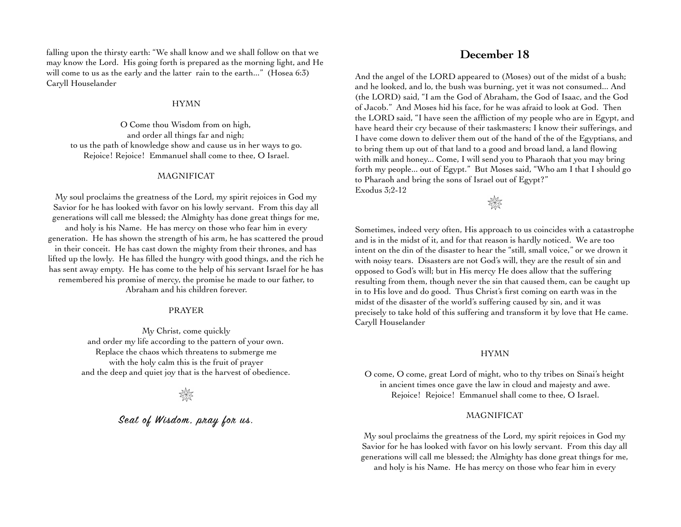falling upon the thirsty earth: "We shall know and we shall follow on that we may know the Lord. His going forth is prepared as the morning light, and He will come to us as the early and the latter rain to the earth..." (Hosea 6:3) Caryll Houselander

#### HYMN

O Come thou Wisdom from on high, and order all things far and nigh; to us the path of knowledge show and cause us in her ways to go. Rejoice! Rejoice! Emmanuel shall come to thee, O Israel.

#### MAGNIFICAT

My soul proclaims the greatness of the Lord, my spirit rejoices in God my Savior for he has looked with favor on his lowly servant. From this day all generations will call me blessed; the Almighty has done great things for me, and holy is his Name. He has mercy on those who fear him in every generation. He has shown the strength of his arm, he has scattered the proud in their conceit. He has cast down the mighty from their thrones, and has lifted up the lowly. He has filled the hungry with good things, and the rich he has sent away empty. He has come to the help of his servant Israel for he has remembered his promise of mercy, the promise he made to our father, to Abraham and his children forever.

#### PRAYER

My Christ, come quickly and order my life according to the pattern of your own. Replace the chaos which threatens to submerge me with the holy calm this is the fruit of prayer and the deep and quiet joy that is the harvest of obedience.

### Seat of Wisdom, pray for us.

### **December 18**

And the angel of the LORD appeared to (Moses) out of the midst of a bush; and he looked, and lo, the bush was burning, yet it was not consumed... And (the LORD) said, "I am the God of Abraham, the God of Isaac, and the God of Jacob." And Moses hid his face, for he was afraid to look at God. Then the LORD said, "I have seen the affliction of my people who are in Egypt, and have heard their cry because of their taskmasters; I know their sufferings, and I have come down to deliver them out of the hand of the of the Egyptians, and to bring them up out of that land to a good and broad land, a land flowing with milk and honey... Come, I will send you to Pharaoh that you may bring forth my people... out of Egypt." But Moses said, "Who am I that I should go to Pharaoh and bring the sons of Israel out of Egypt?" Exodus 3;2-12

₩

Sometimes, indeed very often, His approach to us coincides with a catastrophe and is in the midst of it, and for that reason is hardly noticed. We are too intent on the din of the disaster to hear the "still, small voice," or we drown it with noisy tears. Disasters are not God's will, they are the result of sin and opposed to God's will; but in His mercy He does allow that the suffering resulting from them, though never the sin that caused them, can be caught up in to His love and do good. Thus Christ's first coming on earth was in the midst of the disaster of the world's suffering caused by sin, and it was precisely to take hold of this suffering and transform it by love that He came. Caryll Houselander

#### HYMN

O come, O come, great Lord of might, who to thy tribes on Sinai's height in ancient times once gave the law in cloud and majesty and awe. Rejoice! Rejoice! Emmanuel shall come to thee, O Israel.

#### MAGNIFICAT

My soul proclaims the greatness of the Lord, my spirit rejoices in God my Savior for he has looked with favor on his lowly servant. From this day all generations will call me blessed; the Almighty has done great things for me, and holy is his Name. He has mercy on those who fear him in every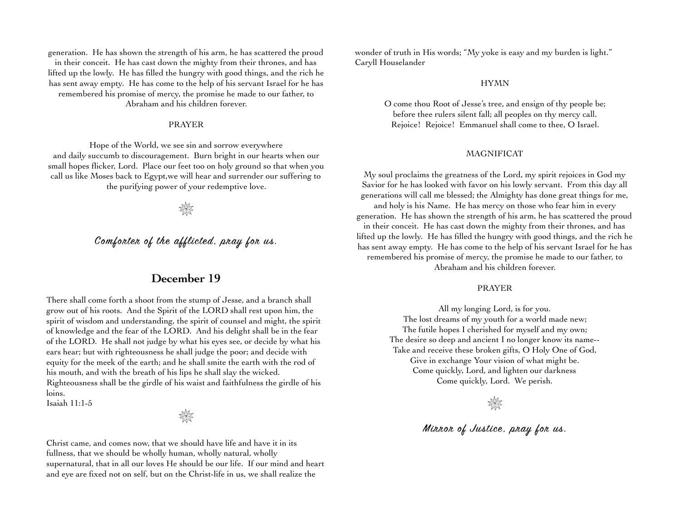generation. He has shown the strength of his arm, he has scattered the proud in their conceit. He has cast down the mighty from their thrones, and has lifted up the lowly. He has filled the hungry with good things, and the rich he has sent away empty. He has come to the help of his servant Israel for he has remembered his promise of mercy, the promise he made to our father, to Abraham and his children forever.

#### PRAYER

Hope of the World, we see sin and sorrow everywhere and daily succumb to discouragement. Burn bright in our hearts when our small hopes flicker, Lord. Place our feet too on holy ground so that when you call us like Moses back to Egypt,we will hear and surrender our suffering to the purifying power of your redemptive love.

### 紫

Comfonten of the afflicted, pnay for us.

### **December 19**

There shall come forth a shoot from the stump of Jesse, and a branch shall grow out of his roots. And the Spirit of the LORD shall rest upon him, the spirit of wisdom and understanding, the spirit of counsel and might, the spirit of knowledge and the fear of the LORD. And his delight shall be in the fear of the LORD. He shall not judge by what his eyes see, or decide by what his ears hear; but with righteousness he shall judge the poor; and decide with equity for the meek of the earth; and he shall smite the earth with the rod of his mouth, and with the breath of his lips he shall slay the wicked. Righteousness shall be the girdle of his waist and faithfulness the girdle of his loins.

Isaiah 11:1-5

粼

Christ came, and comes now, that we should have life and have it in its fullness, that we should be wholly human, wholly natural, wholly supernatural, that in all our loves He should be our life. If our mind and heart and eye are fixed not on self, but on the Christ-life in us, we shall realize the

wonder of truth in His words; "My yoke is easy and my burden is light." Caryll Houselander

#### HYMN

O come thou Root of Jesse's tree, and ensign of thy people be; before thee rulers silent fall; all peoples on thy mercy call. Rejoice! Rejoice! Emmanuel shall come to thee, O Israel.

#### MAGNIFICAT

My soul proclaims the greatness of the Lord, my spirit rejoices in God my Savior for he has looked with favor on his lowly servant. From this day all generations will call me blessed; the Almighty has done great things for me, and holy is his Name. He has mercy on those who fear him in every generation. He has shown the strength of his arm, he has scattered the proud in their conceit. He has cast down the mighty from their thrones, and has lifted up the lowly. He has filled the hungry with good things, and the rich he has sent away empty. He has come to the help of his servant Israel for he has remembered his promise of mercy, the promise he made to our father, to Abraham and his children forever.

#### PRAYER

All my longing Lord, is for you. The lost dreams of my youth for a world made new; The futile hopes I cherished for myself and my own; The desire so deep and ancient I no longer know its name-- Take and receive these broken gifts, O Holy One of God, Give in exchange Your vision of what might be. Come quickly, Lord, and lighten our darkness Come quickly, Lord. We perish.

### 紫

### Mirror of Justice, pray for us.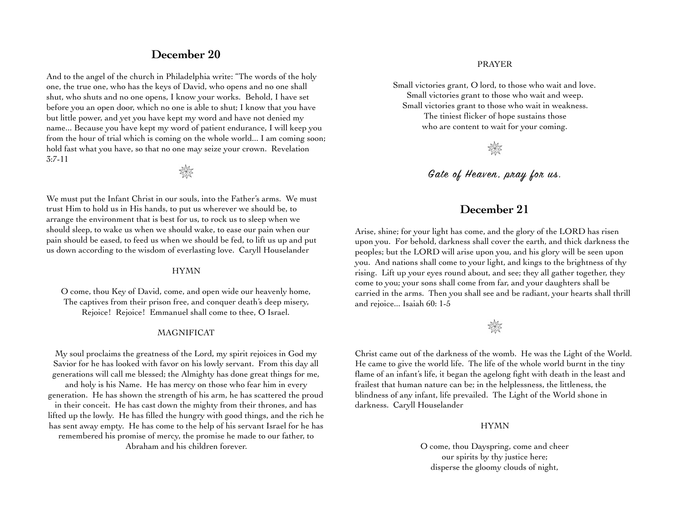### **December 20**

And to the angel of the church in Philadelphia write: "The words of the holy one, the true one, who has the keys of David, who opens and no one shall shut, who shuts and no one opens, I know your works. Behold, I have set before you an open door, which no one is able to shut; I know that you have but little power, and yet you have kept my word and have not denied my name... Because you have kept my word of patient endurance, I will keep you from the hour of trial which is coming on the whole world... I am coming soon; hold fast what you have, so that no one may seize your crown. Revelation 3:7-11

紫

We must put the Infant Christ in our souls, into the Father's arms. We must trust Him to hold us in His hands, to put us wherever we should be, to arrange the environment that is best for us, to rock us to sleep when we should sleep, to wake us when we should wake, to ease our pain when our pain should be eased, to feed us when we should be fed, to lift us up and put us down according to the wisdom of everlasting love. Caryll Houselander

#### HYMN

O come, thou Key of David, come, and open wide our heavenly home, The captives from their prison free, and conquer death's deep misery, Rejoice! Rejoice! Emmanuel shall come to thee, O Israel.

#### MAGNIFICAT

My soul proclaims the greatness of the Lord, my spirit rejoices in God my Savior for he has looked with favor on his lowly servant. From this day all generations will call me blessed; the Almighty has done great things for me, and holy is his Name. He has mercy on those who fear him in every generation. He has shown the strength of his arm, he has scattered the proud in their conceit. He has cast down the mighty from their thrones, and has lifted up the lowly. He has filled the hungry with good things, and the rich he has sent away empty. He has come to the help of his servant Israel for he has remembered his promise of mercy, the promise he made to our father, to Abraham and his children forever.

PRAYER

Small victories grant, O lord, to those who wait and love. Small victories grant to those who wait and weep. Small victories grant to those who wait in weakness. The tiniest flicker of hope sustains those who are content to wait for your coming.

### Gate of Heaven, pray for us.

### **December 21**

Arise, shine; for your light has come, and the glory of the LORD has risen upon you. For behold, darkness shall cover the earth, and thick darkness the peoples; but the LORD will arise upon you, and his glory will be seen upon you. And nations shall come to your light, and kings to the brightness of thy rising. Lift up your eyes round about, and see; they all gather together, they come to you; your sons shall come from far, and your daughters shall be carried in the arms. Then you shall see and be radiant, your hearts shall thrill and rejoice... Isaiah 60: 1-5

## 紫

Christ came out of the darkness of the womb. He was the Light of the World. He came to give the world life. The life of the whole world burnt in the tiny flame of an infant's life, it began the agelong fight with death in the least and frailest that human nature can be; in the helplessness, the littleness, the blindness of any infant, life prevailed. The Light of the World shone in darkness. Caryll Houselander

### HYMN

O come, thou Dayspring, come and cheer our spirits by thy justice here; disperse the gloomy clouds of night,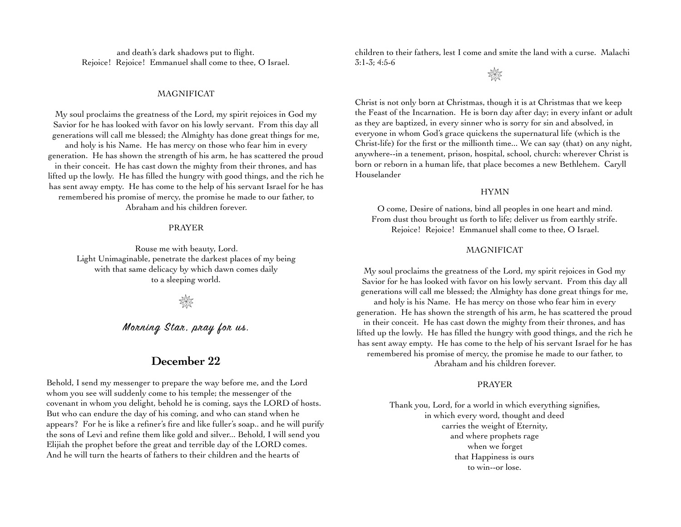and death's dark shadows put to flight. Rejoice! Rejoice! Emmanuel shall come to thee, O Israel.

#### MAGNIFICAT

My soul proclaims the greatness of the Lord, my spirit rejoices in God my Savior for he has looked with favor on his lowly servant. From this day all generations will call me blessed; the Almighty has done great things for me, and holy is his Name. He has mercy on those who fear him in every generation. He has shown the strength of his arm, he has scattered the proud in their conceit. He has cast down the mighty from their thrones, and has lifted up the lowly. He has filled the hungry with good things, and the rich he has sent away empty. He has come to the help of his servant Israel for he has remembered his promise of mercy, the promise he made to our father, to Abraham and his children forever.

#### PRAYER

Rouse me with beauty, Lord. Light Unimaginable, penetrate the darkest places of my being with that same delicacy by which dawn comes daily to a sleeping world.

### Morning Star, pray for us.

### **December 22**

Behold, I send my messenger to prepare the way before me, and the Lord whom you see will suddenly come to his temple; the messenger of the covenant in whom you delight, behold he is coming, says the LORD of hosts. But who can endure the day of his coming, and who can stand when he appears? For he is like a refiner's fire and like fuller's soap.. and he will purify the sons of Levi and refine them like gold and silver... Behold, I will send you Elijiah the prophet before the great and terrible day of the LORD comes. And he will turn the hearts of fathers to their children and the hearts of

children to their fathers, lest I come and smite the land with a curse. Malachi 3:1-3; 4:5-6

紫

Christ is not only born at Christmas, though it is at Christmas that we keep the Feast of the Incarnation. He is born day after day; in every infant or adult as they are baptized, in every sinner who is sorry for sin and absolved, in everyone in whom God's grace quickens the supernatural life (which is the Christ-life) for the first or the millionth time... We can say (that) on any night, anywhere--in a tenement, prison, hospital, school, church: wherever Christ is born or reborn in a human life, that place becomes a new Bethlehem. Caryll Houselander

#### HYMN

O come, Desire of nations, bind all peoples in one heart and mind. From dust thou brought us forth to life; deliver us from earthly strife. Rejoice! Rejoice! Emmanuel shall come to thee, O Israel.

#### MAGNIFICAT

My soul proclaims the greatness of the Lord, my spirit rejoices in God my Savior for he has looked with favor on his lowly servant. From this day all generations will call me blessed; the Almighty has done great things for me,

and holy is his Name. He has mercy on those who fear him in every generation. He has shown the strength of his arm, he has scattered the proud in their conceit. He has cast down the mighty from their thrones, and has lifted up the lowly. He has filled the hungry with good things, and the rich he has sent away empty. He has come to the help of his servant Israel for he has remembered his promise of mercy, the promise he made to our father, to Abraham and his children forever.

### PRAYER

Thank you, Lord, for a world in which everything signifies, in which every word, thought and deed carries the weight of Eternity, and where prophets rage when we forget that Happiness is ours to win--or lose.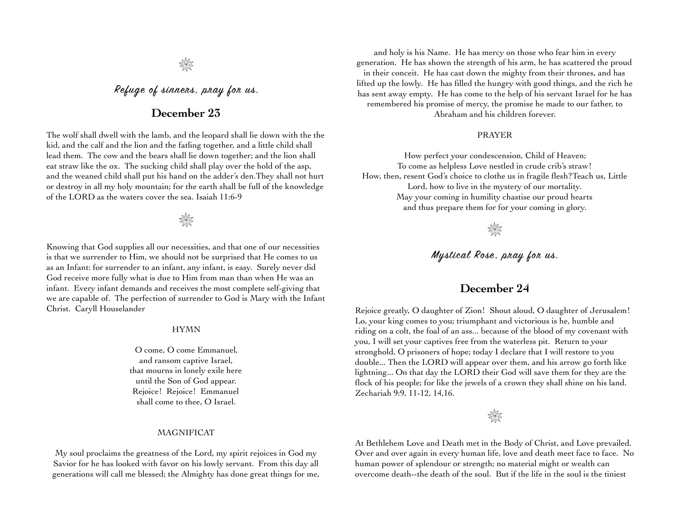## 燚

### Refuge of sinners, pray for us.

### **December 23**

The wolf shall dwell with the lamb, and the leopard shall lie down with the the kid, and the calf and the lion and the fatling together, and a little child shall lead them. The cow and the bears shall lie down together; and the lion shall eat straw like the ox. The sucking child shall play over the hold of the asp, and the weaned child shall put his hand on the adder's den.They shall not hurt or destroy in all my holy mountain; for the earth shall be full of the knowledge of the LORD as the waters cover the sea. Isaiah 11:6-9

紫

Knowing that God supplies all our necessities, and that one of our necessities is that we surrender to Him, we should not be surprised that He comes to us as an Infant: for surrender to an infant, any infant, is easy. Surely never did God receive more fully what is due to Him from man than when He was an infant. Every infant demands and receives the most complete self-giving that we are capable of. The perfection of surrender to God is Mary with the Infant Christ. Caryll Houselander

#### HYMN

O come, O come Emmanuel, and ransom captive Israel, that mourns in lonely exile here until the Son of God appear. Rejoice! Rejoice! Emmanuel shall come to thee, O Israel.

### MAGNIFICAT

My soul proclaims the greatness of the Lord, my spirit rejoices in God my Savior for he has looked with favor on his lowly servant. From this day all generations will call me blessed; the Almighty has done great things for me,

and holy is his Name. He has mercy on those who fear him in every generation. He has shown the strength of his arm, he has scattered the proud in their conceit. He has cast down the mighty from their thrones, and has lifted up the lowly. He has filled the hungry with good things, and the rich he has sent away empty. He has come to the help of his servant Israel for he has remembered his promise of mercy, the promise he made to our father, to Abraham and his children forever.

### PRAYER

How perfect your condescension, Child of Heaven; To come as helpless Love nestled in crude crib's straw! How, then, resent God's choice to clothe us in fragile flesh?Teach us, Little Lord, how to live in the mystery of our mortality. May your coming in humility chastise our proud hearts and thus prepare them for for your coming in glory.

### Mystical Rose, pray for us.

### **December 24**

Rejoice greatly, O daughter of Zion! Shout aloud, O daughter of Jerusalem! Lo, your king comes to you; triumphant and victorious is he, humble and riding on a colt, the foal of an ass... because of the blood of my covenant with you, I will set your captives free from the waterless pit. Return to your stronghold, O prisoners of hope; today I declare that I will restore to you double... Then the LORD will appear over them, and his arrow go forth like lightning... On that day the LORD their God will save them for they are the flock of his people; for like the jewels of a crown they shall shine on his land. Zechariah 9:9, 11-12, 14,16.



At Bethlehem Love and Death met in the Body of Christ, and Love prevailed. Over and over again in every human life, love and death meet face to face. No human power of splendour or strength; no material might or wealth can overcome death--the death of the soul. But if the life in the soul is the tiniest